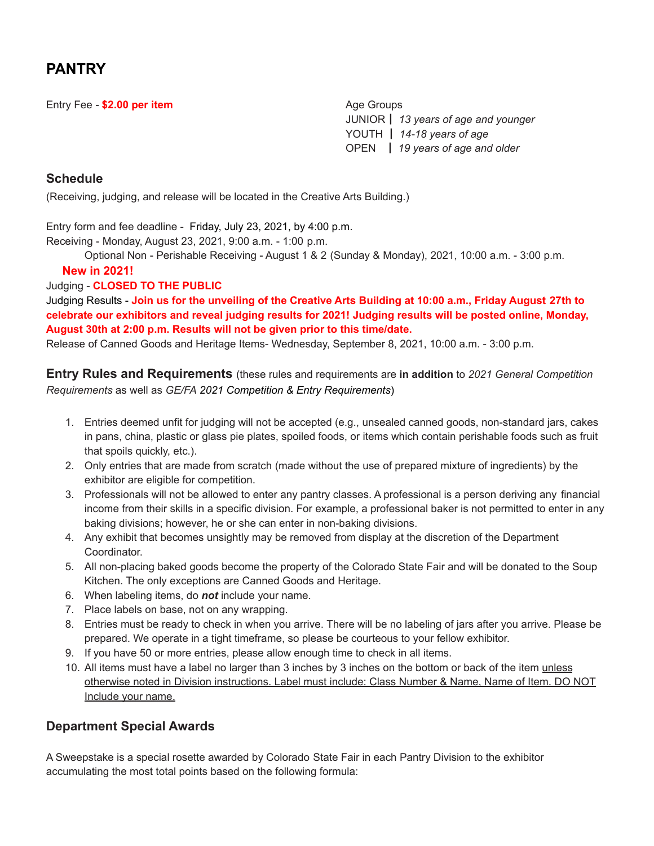# **PANTRY**

Entry Fee **- \$2.00 per item** Age Groups Age Groups

JUNIOR┃ *13 years of age and younger* YOUTH ┃ *14-18 years of age* OPEN ┃ *19 years of age and older*

## **Schedule**

(Receiving, judging, and release will be located in the Creative Arts Building.)

Entry form and fee deadline - Friday, July 23, 2021, by 4:00 p.m. Receiving - Monday, August 23, 2021, 9:00 a.m. - 1:00 p.m.

Optional Non - Perishable Receiving - August 1 & 2 (Sunday & Monday), 2021, 10:00 a.m. - 3:00 p.m.

### **New in 2021!**

Judging - **CLOSED TO THE PUBLIC**

Judging Results - Join us for the unveiling of the Creative Arts Building at 10:00 a.m., Friday August 27th to **celebrate our exhibitors and reveal judging results for 2021! Judging results will be posted online, Monday, August 30th at 2:00 p.m. Results will not be given prior to this time/date.**

Release of Canned Goods and Heritage Items- Wednesday, September 8, 2021, 10:00 a.m. - 3:00 p.m.

**Entry Rules and Requirements** (these rules and requirements are **in addition** to *2021 General Competition Requirements* as well as *GE/FA 2021 Competition & Entry Requirements*)

- 1. Entries deemed unfit for judging will not be accepted (e.g., unsealed canned goods, non-standard jars, cakes in pans, china, plastic or glass pie plates, spoiled foods, or items which contain perishable foods such as fruit that spoils quickly, etc.).
- 2. Only entries that are made from scratch (made without the use of prepared mixture of ingredients) by the exhibitor are eligible for competition.
- 3. Professionals will not be allowed to enter any pantry classes. A professional is a person deriving any financial income from their skills in a specific division. For example, a professional baker is not permitted to enter in any baking divisions; however, he or she can enter in non-baking divisions.
- 4. Any exhibit that becomes unsightly may be removed from display at the discretion of the Department Coordinator.
- 5. All non-placing baked goods become the property of the Colorado State Fair and will be donated to the Soup Kitchen. The only exceptions are Canned Goods and Heritage.
- 6. When labeling items, do *not* include your name.
- 7. Place labels on base, not on any wrapping.
- 8. Entries must be ready to check in when you arrive. There will be no labeling of jars after you arrive. Please be prepared. We operate in a tight timeframe, so please be courteous to your fellow exhibitor.
- 9. If you have 50 or more entries, please allow enough time to check in all items.
- 10. All items must have a label no larger than 3 inches by 3 inches on the bottom or back of the item unless otherwise noted in Division instructions. Label must include: Class Number & Name, Name of Item. DO NOT Include your name.

## **Department Special Awards**

A Sweepstake is a special rosette awarded by Colorado State Fair in each Pantry Division to the exhibitor accumulating the most total points based on the following formula: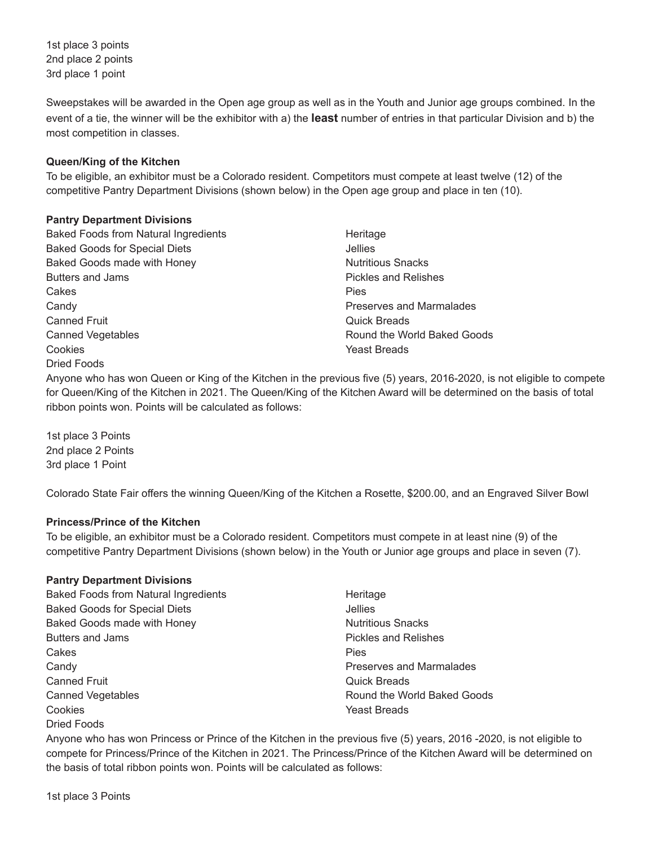1st place 3 points 2nd place 2 points 3rd place 1 point

Sweepstakes will be awarded in the Open age group as well as in the Youth and Junior age groups combined. In the event of a tie, the winner will be the exhibitor with a) the **least** number of entries in that particular Division and b) the most competition in classes.

### **Queen/King of the Kitchen**

To be eligible, an exhibitor must be a Colorado resident. Competitors must compete at least twelve (12) of the competitive Pantry Department Divisions (shown below) in the Open age group and place in ten (10).

### **Pantry Department Divisions**

Baked Foods from Natural Ingredients Baked Goods for Special Diets Baked Goods made with Honey Butters and Jams **Cakes Candy** Canned Fruit Canned Vegetables Cookies Dried Foods

Heritage Jellies Nutritious Snacks Pickles and Relishes Pies Preserves and Marmalades Quick Breads Round the World Baked Goods Yeast Breads

Anyone who has won Queen or King of the Kitchen in the previous five (5) years, 2016-2020, is not eligible to compete for Queen/King of the Kitchen in 2021. The Queen/King of the Kitchen Award will be determined on the basis of total ribbon points won. Points will be calculated as follows:

1st place 3 Points 2nd place 2 Points 3rd place 1 Point

Colorado State Fair offers the winning Queen/King of the Kitchen a Rosette, \$200.00, and an Engraved Silver Bowl

### **Princess/Prince of the Kitchen**

To be eligible, an exhibitor must be a Colorado resident. Competitors must compete in at least nine (9) of the competitive Pantry Department Divisions (shown below) in the Youth or Junior age groups and place in seven (7).

### **Pantry Department Divisions**

| Baked Foods from Natural Ingredients | Heritage                    |
|--------------------------------------|-----------------------------|
| <b>Baked Goods for Special Diets</b> | <b>Jellies</b>              |
| Baked Goods made with Honey          | <b>Nutritious Snacks</b>    |
| Butters and Jams                     | <b>Pickles and Relishes</b> |
| Cakes                                | <b>Pies</b>                 |
| Candy                                | Preserves and Marmalades    |
| <b>Canned Fruit</b>                  | <b>Quick Breads</b>         |
| <b>Canned Vegetables</b>             | Round the World Baked Goods |
| Cookies                              | Yeast Breads                |
| Dried Foods                          |                             |

Anyone who has won Princess or Prince of the Kitchen in the previous five (5) years, 2016 -2020, is not eligible to compete for Princess/Prince of the Kitchen in 2021. The Princess/Prince of the Kitchen Award will be determined on the basis of total ribbon points won. Points will be calculated as follows: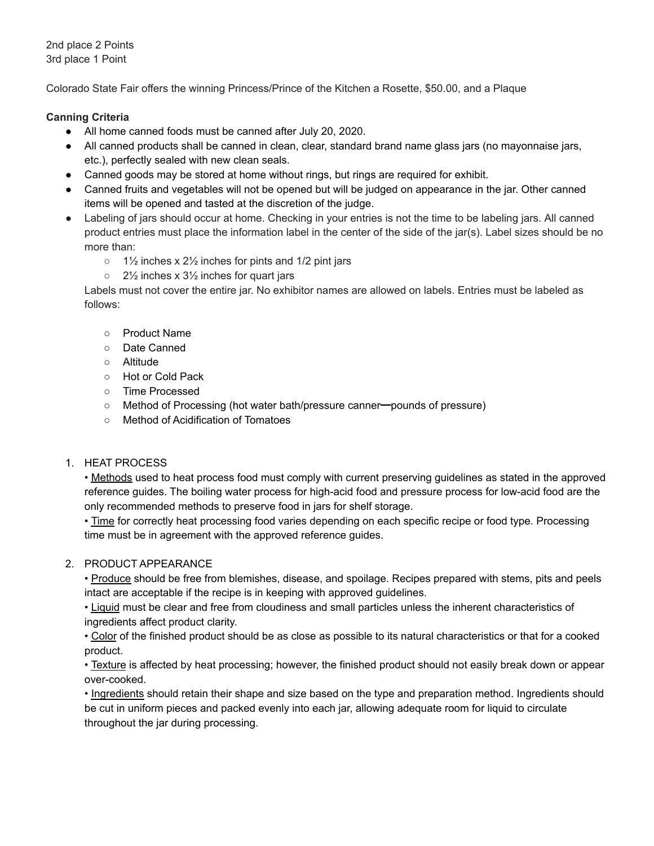2nd place 2 Points 3rd place 1 Point

Colorado State Fair offers the winning Princess/Prince of the Kitchen a Rosette, \$50.00, and a Plaque

### **Canning Criteria**

- All home canned foods must be canned after July 20, 2020.
- All canned products shall be canned in clean, clear, standard brand name glass jars (no mayonnaise jars, etc.), perfectly sealed with new clean seals.
- Canned goods may be stored at home without rings, but rings are required for exhibit.
- Canned fruits and vegetables will not be opened but will be judged on appearance in the jar. Other canned items will be opened and tasted at the discretion of the judge.
- Labeling of jars should occur at home. Checking in your entries is not the time to be labeling jars. All canned product entries must place the information label in the center of the side of the jar(s). Label sizes should be no more than:
	- $\circ$  1½ inches x 2½ inches for pints and 1/2 pint jars
	- $\circ$  2<sup>1</sup>/<sub>2</sub> inches x 3<sup>1</sup>/<sub>2</sub> inches for quart jars

Labels must not cover the entire jar. No exhibitor names are allowed on labels. Entries must be labeled as follows:

- Product Name
- Date Canned
- Altitude
- Hot or Cold Pack
- Time Processed
- Method of Processing (hot water bath/pressure canner━pounds of pressure)
- **Method of Acidification of Tomatoes**

### 1. HEAT PROCESS

• Methods used to heat process food must comply with current preserving guidelines as stated in the approved reference guides. The boiling water process for high-acid food and pressure process for low-acid food are the only recommended methods to preserve food in jars for shelf storage.

• Time for correctly heat processing food varies depending on each specific recipe or food type. Processing time must be in agreement with the approved reference guides.

### 2. PRODUCT APPEARANCE

• Produce should be free from blemishes, disease, and spoilage. Recipes prepared with stems, pits and peels intact are acceptable if the recipe is in keeping with approved guidelines.

• Liquid must be clear and free from cloudiness and small particles unless the inherent characteristics of ingredients affect product clarity.

• Color of the finished product should be as close as possible to its natural characteristics or that for a cooked product.

• Texture is affected by heat processing; however, the finished product should not easily break down or appear over-cooked.

• Ingredients should retain their shape and size based on the type and preparation method. Ingredients should be cut in uniform pieces and packed evenly into each jar, allowing adequate room for liquid to circulate throughout the jar during processing.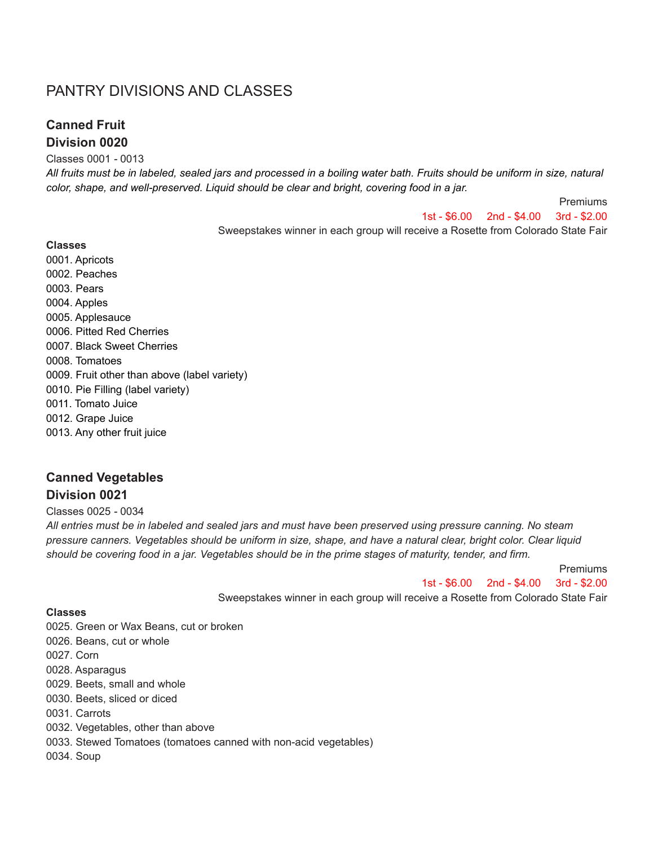# PANTRY DIVISIONS AND CLASSES

## **Canned Fruit Division 0020**

#### Classes 0001 *-* 0013

All fruits must be in labeled, sealed jars and processed in a boiling water bath. Fruits should be uniform in size, natural *color, shape, and well-preserved. Liquid should be clear and bright, covering food in a jar.*

> Premiums 1st - \$6.00 2nd - \$4.00 3rd - \$2.00

Sweepstakes winner in each group will receive a Rosette from Colorado State Fair

**Classes** 0001. Apricots 0002. Peaches 0003. Pears 0004. Apples 0005. Applesauce 0006. Pitted Red Cherries 0007. Black Sweet Cherries 0008. Tomatoes 0009. Fruit other than above (label variety) 0010. Pie Filling (label variety) 0011. Tomato Juice 0012. Grape Juice 0013. Any other fruit juice

## **Canned Vegetables Division 0021**

Classes 0025 *-* 0034

All entries must be in labeled and sealed jars and must have been preserved using pressure canning. No steam pressure canners. Vegetables should be uniform in size, shape, and have a natural clear, bright color. Clear liquid should be covering food in a jar. Vegetables should be in the prime stages of maturity, tender, and firm.

Premiums

1st - \$6.00 2nd - \$4.00 3rd - \$2.00

Sweepstakes winner in each group will receive a Rosette from Colorado State Fair

#### **Classes**

0025. Green or Wax Beans, cut or broken 0026. Beans, cut or whole 0027. Corn 0028. Asparagus 0029. Beets, small and whole 0030. Beets, sliced or diced 0031. Carrots 0032. Vegetables, other than above 0033. Stewed Tomatoes (tomatoes canned with non-acid vegetables) 0034. Soup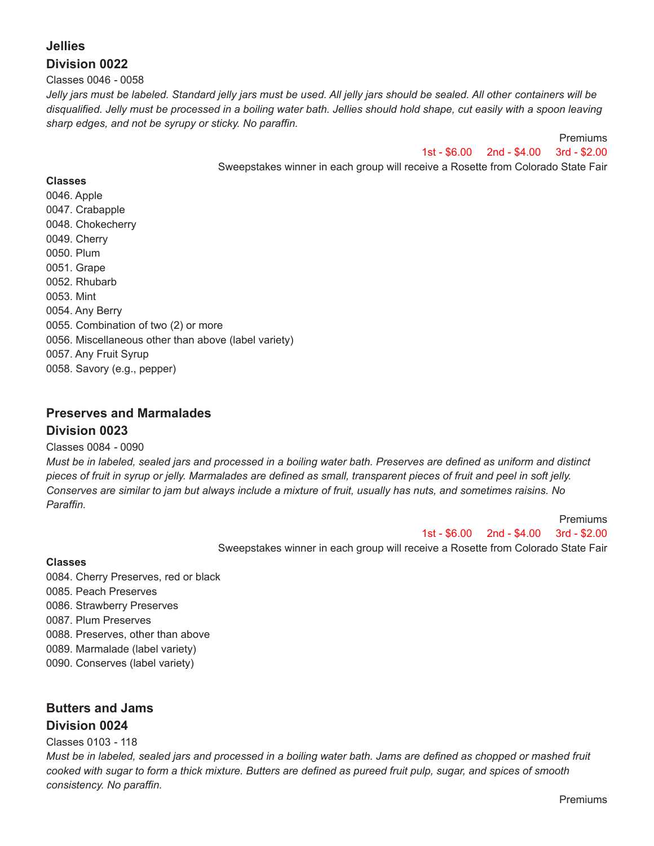# **Jellies Division 0022**

#### Classes 0046 *-* 0058

Jelly jars must be labeled. Standard jelly jars must be used. All jelly jars should be sealed. All other containers will be disqualified. Jelly must be processed in a boiling water bath. Jellies should hold shape, cut easily with a spoon leaving *sharp edges, and not be syrupy or sticky. No paraffin.*

> Premiums 1st - \$6.00 2nd - \$4.00 3rd - \$2.00

Sweepstakes winner in each group will receive a Rosette from Colorado State Fair

### **Classes**

0046. Apple 0047. Crabapple 0048. Chokecherry 0049. Cherry 0050. Plum 0051. Grape 0052. Rhubarb 0053. Mint 0054. Any Berry 0055. Combination of two (2) or more 0056. Miscellaneous other than above (label variety) 0057. Any Fruit Syrup 0058. Savory (e.g., pepper)

## **Preserves and Marmalades Division 0023**

### Classes 0084 *-* 0090

Must be in labeled, sealed jars and processed in a boiling water bath. Preserves are defined as uniform and distinct pieces of fruit in syrup or jelly. Marmalades are defined as small, transparent pieces of fruit and peel in soft jelly. Conserves are similar to jam but always include a mixture of fruit, usually has nuts, and sometimes raisins. No *Paraffin.*

> 1st - \$6.00 2nd - \$4.00 3rd - \$2.00 Sweepstakes winner in each group will receive a Rosette from Colorado State Fair

#### **Classes**

0084. Cherry Preserves, red or black 0085. Peach Preserves 0086. Strawberry Preserves 0087. Plum Preserves 0088. Preserves, other than above 0089. Marmalade (label variety) 0090. Conserves (label variety)

# **Butters and Jams Division 0024**

### Classes 0103 *-* 118

Must be in labeled, sealed jars and processed in a boiling water bath. Jams are defined as chopped or mashed fruit cooked with sugar to form a thick mixture. Butters are defined as pureed fruit pulp, sugar, and spices of smooth *consistency. No paraffin.*

Premiums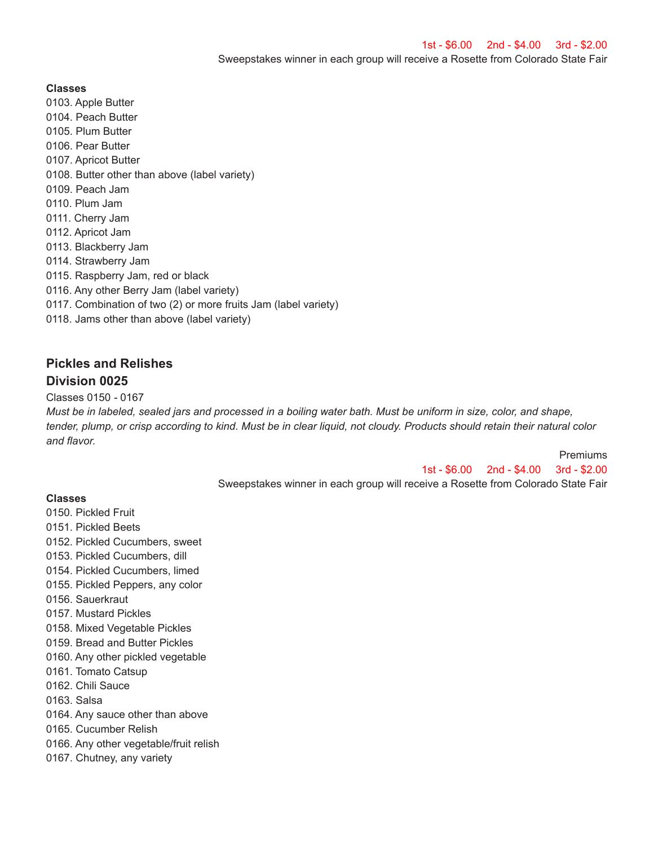**Classes**

- 0103. Apple Butter
- 0104. Peach Butter
- 0105. Plum Butter
- 0106. Pear Butter
- 0107. Apricot Butter
- 0108. Butter other than above (label variety)
- 0109. Peach Jam
- 0110. Plum Jam
- 0111. Cherry Jam
- 0112. Apricot Jam
- 0113. Blackberry Jam
- 0114. Strawberry Jam
- 0115. Raspberry Jam, red or black
- 0116. Any other Berry Jam (label variety)
- 0117. Combination of two (2) or more fruits Jam (label variety)
- 0118. Jams other than above (label variety)

# **Pickles and Relishes Division 0025**

### Classes 0150 *-* 0167

Must be in labeled, sealed jars and processed in a boiling water bath. Must be uniform in size, color, and shape, tender, plump, or crisp according to kind. Must be in clear liquid, not cloudy. Products should retain their natural color *and flavor.*

Premiums

1st - \$6.00 2nd - \$4.00 3rd - \$2.00 Sweepstakes winner in each group will receive a Rosette from Colorado State Fair

## **Classes**

- 0150. Pickled Fruit
- 0151. Pickled Beets
- 0152. Pickled Cucumbers, sweet
- 0153. Pickled Cucumbers, dill
- 0154. Pickled Cucumbers, limed
- 0155. Pickled Peppers, any color
- 0156. Sauerkraut
- 0157. Mustard Pickles
- 0158. Mixed Vegetable Pickles
- 0159. Bread and Butter Pickles
- 0160. Any other pickled vegetable
- 0161. Tomato Catsup
- 0162. Chili Sauce
- 0163. Salsa
- 0164. Any sauce other than above
- 0165. Cucumber Relish
- 0166. Any other vegetable/fruit relish
- 0167. Chutney, any variety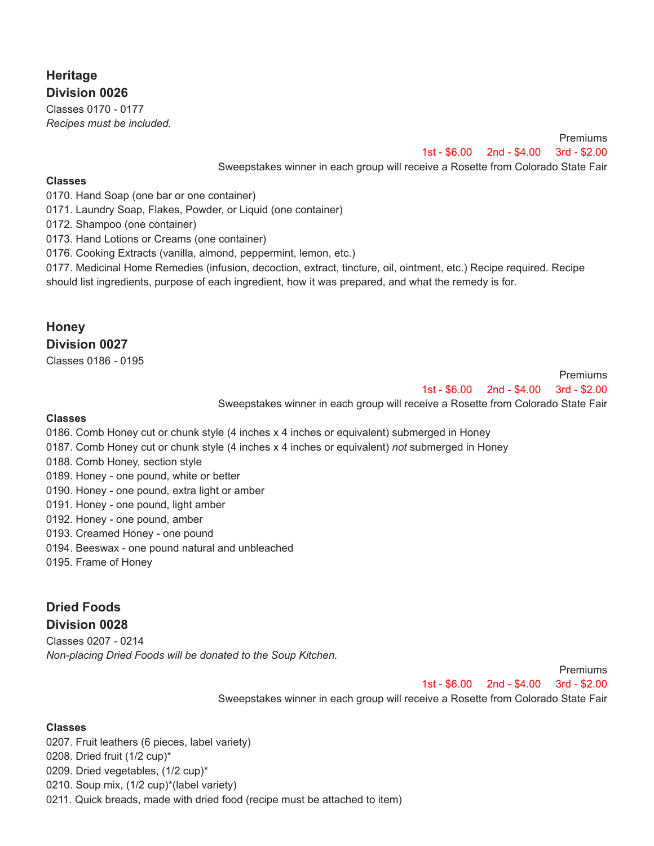# **Heritage Division 0026**

Classes 0170 *-* 0177 *Recipes must be included.*

> Premiums 1st - \$6.00 2nd - \$4.00 3rd - \$2.00

Sweepstakes winner in each group will receive a Rosette from Colorado State Fair

### **Classes**

0170. Hand Soap (one bar or one container)

0171. Laundry Soap, Flakes, Powder, or Liquid (one container)

0172. Shampoo (one container)

0173. Hand Lotions or Creams (one container)

0176. Cooking Extracts (vanilla, almond, peppermint, lemon, etc.)

0177. Medicinal Home Remedies (infusion, decoction, extract, tincture, oil, ointment, etc.) Recipe required. Recipe should list ingredients, purpose of each ingredient, how it was prepared, and what the remedy is for.

### **Honey Division 0027**

Classes 0186 *-* 0195

Premiums 1st - \$6.00 2nd - \$4.00 3rd - \$2.00

Sweepstakes winner in each group will receive a Rosette from Colorado State Fair

### **Classes**

0186. Comb Honey cut or chunk style (4 inches x 4 inches or equivalent) submerged in Honey

- 0187. Comb Honey cut or chunk style (4 inches x 4 inches or equivalent) *not* submerged in Honey
- 0188. Comb Honey, section style
- 0189. Honey one pound, white or better
- 0190. Honey one pound, extra light or amber
- 0191. Honey one pound, light amber
- 0192. Honey one pound, amber
- 0193. Creamed Honey one pound
- 0194. Beeswax one pound natural and unbleached
- 0195. Frame of Honey

# **Dried Foods Division 0028**

Classes 0207 *-* 0214 *Non-placing Dried Foods will be donated to the Soup Kitchen.*

> Premiums 1st - \$6.00 2nd - \$4.00 3rd - \$2.00 Sweepstakes winner in each group will receive a Rosette from Colorado State Fair

### **Classes**

0207. Fruit leathers (6 pieces, label variety) 0208. Dried fruit (1/2 cup)\* 0209. Dried vegetables, (1/2 cup)\* 0210. Soup mix, (1/2 cup)\*(label variety) 0211. Quick breads, made with dried food (recipe must be attached to item)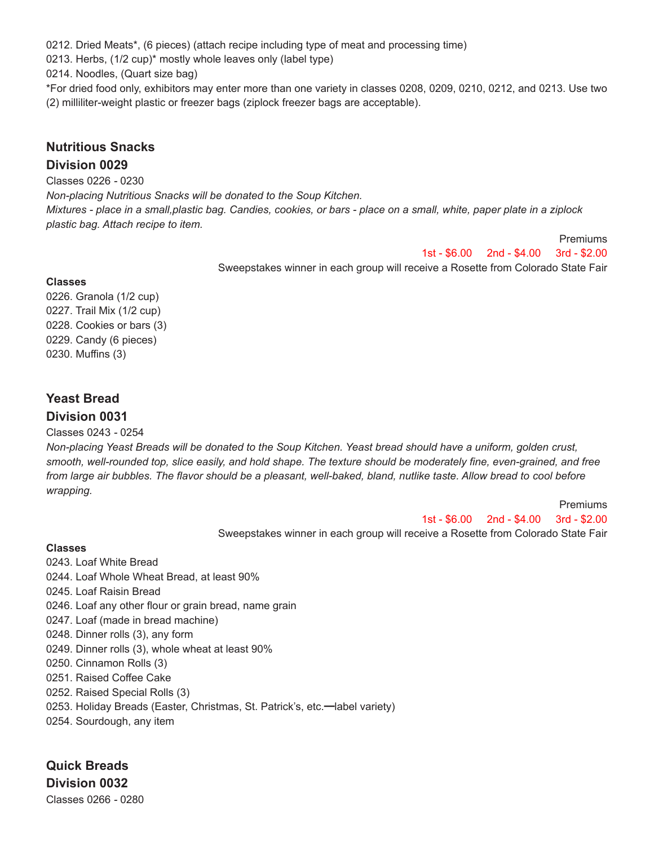0212. Dried Meats\*, (6 pieces) (attach recipe including type of meat and processing time)

0213. Herbs, (1/2 cup)\* mostly whole leaves only (label type)

0214. Noodles, (Quart size bag)

\*For dried food only, exhibitors may enter more than one variety in classes 0208, 0209, 0210, 0212, and 0213. Use two (2) milliliter-weight plastic or freezer bags (ziplock freezer bags are acceptable).

## **Nutritious Snacks Division 0029**

Classes 0226 *-* 0230

*Non-placing Nutritious Snacks will be donated to the Soup Kitchen.*

Mixtures - place in a small, plastic bag. Candies, cookies, or bars - place on a small, white, paper plate in a ziplock *plastic bag. Attach recipe to item.*

> Premiums 1st - \$6.00 2nd - \$4.00 3rd - \$2.00 Sweepstakes winner in each group will receive a Rosette from Colorado State Fair

### **Classes**

0226. Granola (1/2 cup) 0227. Trail Mix (1/2 cup) 0228. Cookies or bars (3) 0229. Candy (6 pieces) 0230. Muffins (3)

# **Yeast Bread Division 0031**

Classes 0243 *-* 0254

Non-placing Yeast Breads will be donated to the Soup Kitchen. Yeast bread should have a uniform, golden crust, smooth, well-rounded top, slice easily, and hold shape. The texture should be moderately fine, even-grained, and free from large air bubbles. The flavor should be a pleasant, well-baked, bland, nutlike taste. Allow bread to cool before *wrapping.*

Premiums

1st - \$6.00 2nd - \$4.00 3rd - \$2.00

Sweepstakes winner in each group will receive a Rosette from Colorado State Fair

### **Classes**

- 0243. Loaf White Bread 0244. Loaf Whole Wheat Bread, at least 90% 0245. Loaf Raisin Bread 0246. Loaf any other flour or grain bread, name grain 0247. Loaf (made in bread machine) 0248. Dinner rolls (3), any form 0249. Dinner rolls (3), whole wheat at least 90% 0250. Cinnamon Rolls (3) 0251. Raised Coffee Cake 0252. Raised Special Rolls (3)
- 0253. Holiday Breads (Easter, Christmas, St. Patrick's, etc.━label variety)
- 0254. Sourdough, any item

**Quick Breads Division 0032**

Classes 0266 *-* 0280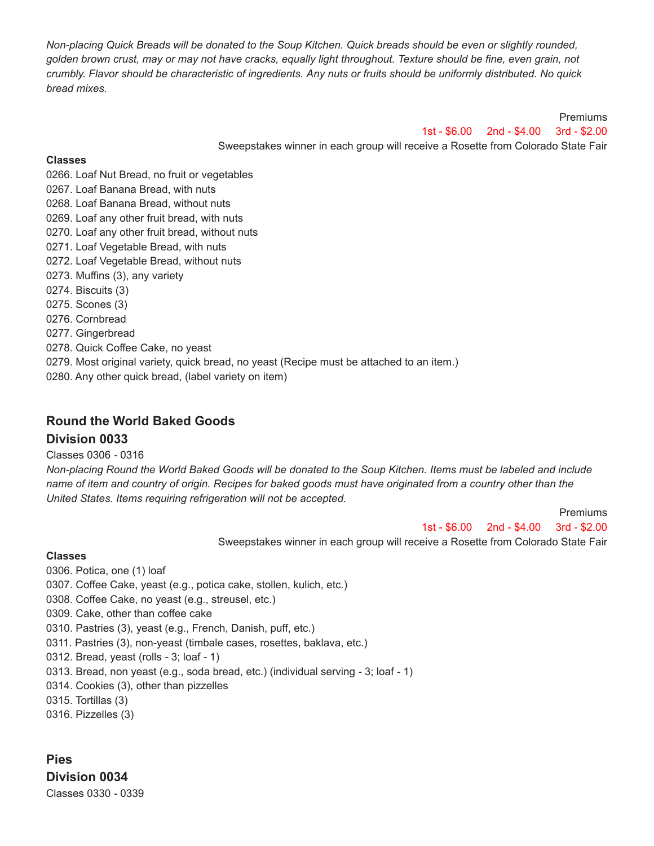Non-placing Quick Breads will be donated to the Soup Kitchen. Quick breads should be even or slightly rounded, golden brown crust, may or may not have cracks, equally light throughout. Texture should be fine, even grain, not crumbly. Flavor should be characteristic of ingredients. Any nuts or fruits should be uniformly distributed. No quick *bread mixes.*

> 1st - \$6.00 2nd - \$4.00 3rd - \$2.00 Sweepstakes winner in each group will receive a Rosette from Colorado State Fair

### **Classes**

0266. Loaf Nut Bread, no fruit or vegetables

- 0267. Loaf Banana Bread, with nuts
- 0268. Loaf Banana Bread, without nuts
- 0269. Loaf any other fruit bread, with nuts
- 0270. Loaf any other fruit bread, without nuts
- 0271. Loaf Vegetable Bread, with nuts
- 0272. Loaf Vegetable Bread, without nuts
- 0273. Muffins (3), any variety
- 0274. Biscuits (3)
- 0275. Scones (3)
- 0276. Cornbread
- 0277. Gingerbread
- 0278. Quick Coffee Cake, no yeast
- 0279. Most original variety, quick bread, no yeast (Recipe must be attached to an item.)
- 0280. Any other quick bread, (label variety on item)

### **Round the World Baked Goods**

### **Division 0033**

### Classes 0306 *-* 0316

Non-placing Round the World Baked Goods will be donated to the Soup Kitchen. Items must be labeled and include name of item and country of origin. Recipes for baked goods must have originated from a country other than the *United States. Items requiring refrigeration will not be accepted.*

1st - \$6.00 2nd - \$4.00 3rd - \$2.00

Premiums

Premiums

Sweepstakes winner in each group will receive a Rosette from Colorado State Fair

### **Classes**

- 0306. Potica, one (1) loaf
- 0307. Coffee Cake, yeast (e.g., potica cake, stollen, kulich, etc.)
- 0308. Coffee Cake, no yeast (e.g., streusel, etc.)
- 0309. Cake, other than coffee cake
- 0310. Pastries (3), yeast (e.g., French, Danish, puff, etc.)
- 0311. Pastries (3), non-yeast (timbale cases, rosettes, baklava, etc.)
- 0312. Bread, yeast (rolls *-* 3; loaf *-* 1)
- 0313. Bread, non yeast (e.g., soda bread, etc.) (individual serving *-* 3; loaf *-* 1)
- 0314. Cookies (3), other than pizzelles
- 0315. Tortillas (3)
- 0316. Pizzelles (3)

**Pies Division 0034** Classes 0330 *-* 0339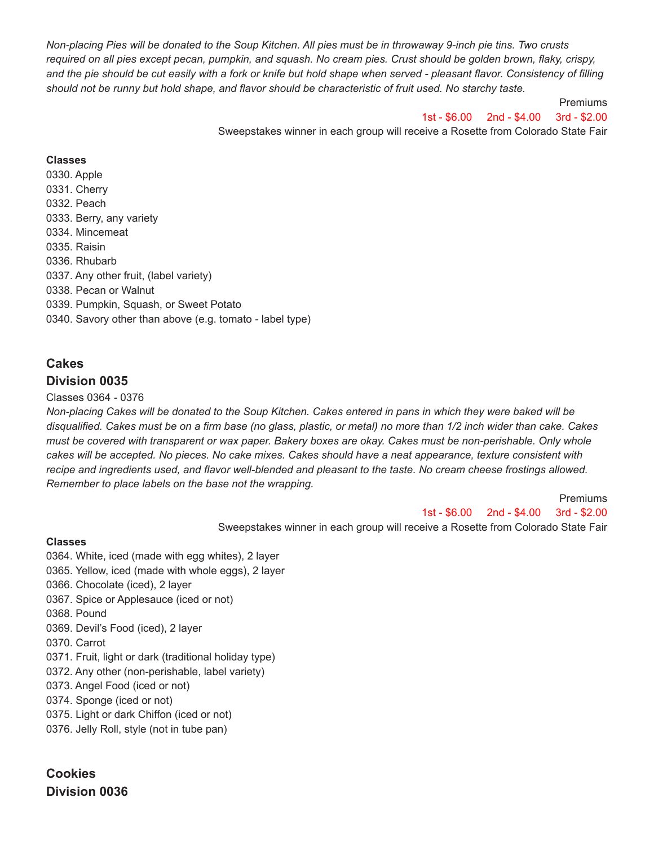Non-placing Pies will be donated to the Soup Kitchen. All pies must be in throwaway 9-inch pie tins. Two crusts required on all pies except pecan, pumpkin, and squash. No cream pies. Crust should be golden brown, flaky, crispy, and the pie should be cut easily with a fork or knife but hold shape when served - pleasant flavor. Consistency of filling should not be runny but hold shape, and flavor should be characteristic of fruit used. No starchy taste.

1st - \$6.00 2nd - \$4.00 3rd - \$2.00

Premiums

Sweepstakes winner in each group will receive a Rosette from Colorado State Fair

### **Classes**

0330. Apple 0331. Cherry 0332. Peach 0333. Berry, any variety 0334. Mincemeat 0335. Raisin 0336. Rhubarb 0337. Any other fruit, (label variety) 0338. Pecan or Walnut 0339. Pumpkin, Squash, or Sweet Potato 0340. Savory other than above (e.g. tomato - label type)

## **Cakes Division 0035**

### Classes 0364 *-* 0376

Non-placing Cakes will be donated to the Soup Kitchen. Cakes entered in pans in which they were baked will be disqualified. Cakes must be on a firm base (no glass, plastic, or metal) no more than 1/2 inch wider than cake. Cakes must be covered with transparent or wax paper. Bakery boxes are okay. Cakes must be non-perishable. Only whole cakes will be accepted. No pieces. No cake mixes. Cakes should have a neat appearance, texture consistent with recipe and ingredients used, and flavor well-blended and pleasant to the taste. No cream cheese frostings allowed. *Remember to place labels on the base not the wrapping.*

> Premiums 1st - \$6.00 2nd - \$4.00 3rd - \$2.00

Sweepstakes winner in each group will receive a Rosette from Colorado State Fair

#### **Classes**

0364. White, iced (made with egg whites), 2 layer

- 0365. Yellow, iced (made with whole eggs), 2 layer
- 0366. Chocolate (iced), 2 layer
- 0367. Spice or Applesauce (iced or not)
- 0368. Pound
- 0369. Devil's Food (iced), 2 layer
- 0370. Carrot
- 0371. Fruit, light or dark (traditional holiday type)
- 0372. Any other (non-perishable, label variety)
- 0373. Angel Food (iced or not)
- 0374. Sponge (iced or not)
- 0375. Light or dark Chiffon (iced or not)
- 0376. Jelly Roll, style (not in tube pan)

# **Cookies Division 0036**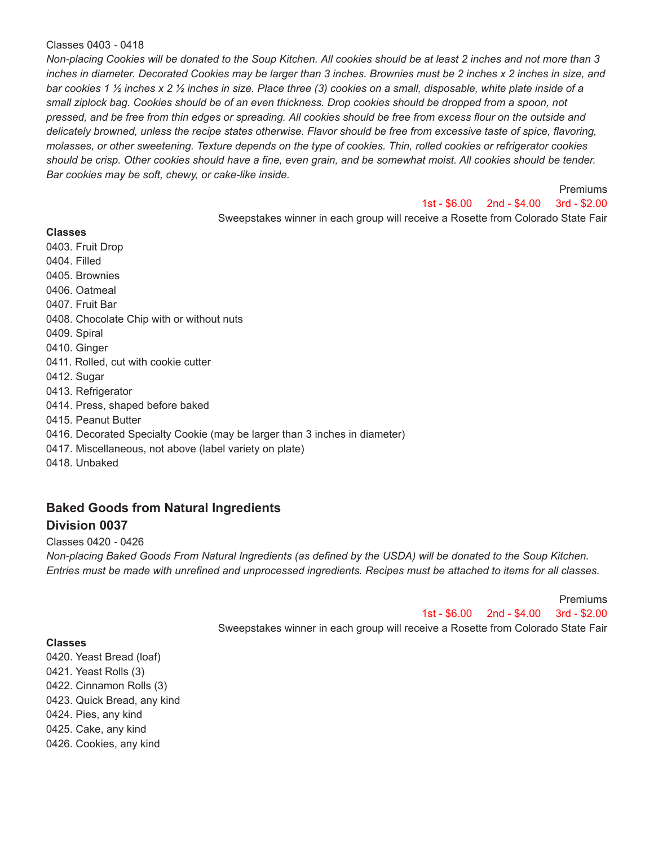#### Classes 0403 *-* 0418

Non-placing Cookies will be donated to the Soup Kitchen. All cookies should be at least 2 inches and not more than 3 inches in diameter. Decorated Cookies may be larger than 3 inches. Brownies must be 2 inches x 2 inches in size, and bar cookies 1 1/2 inches x 2 1/2 inches in size. Place three (3) cookies on a small, disposable, white plate inside of a small ziplock bag. Cookies should be of an even thickness. Drop cookies should be dropped from a spoon, not pressed, and be free from thin edges or spreading. All cookies should be free from excess flour on the outside and delicately browned, unless the recipe states otherwise. Flavor should be free from excessive taste of spice, flavoring, molasses, or other sweetening. Texture depends on the type of cookies. Thin, rolled cookies or refrigerator cookies should be crisp. Other cookies should have a fine, even grain, and be somewhat moist. All cookies should be tender. *Bar cookies may be soft, chewy, or cake-like inside.*

Premiums

1st - \$6.00 2nd - \$4.00 3rd - \$2.00

Sweepstakes winner in each group will receive a Rosette from Colorado State Fair

**Classes** 0403. Fruit Drop 0404. Filled 0405. Brownies 0406. Oatmeal 0407. Fruit Bar 0408. Chocolate Chip with or without nuts 0409. Spiral 0410. Ginger 0411. Rolled, cut with cookie cutter 0412. Sugar 0413. Refrigerator 0414. Press, shaped before baked 0415. Peanut Butter 0416. Decorated Specialty Cookie (may be larger than 3 inches in diameter) 0417. Miscellaneous, not above (label variety on plate) 0418. Unbaked

## **Baked Goods from Natural Ingredients Division 0037**

#### Classes 0420 *-* 0426

Non-placing Baked Goods From Natural Ingredients (as defined by the USDA) will be donated to the Soup Kitchen. Entries must be made with unrefined and unprocessed ingredients. Recipes must be attached to items for all classes.

> **Premiums** 1st - \$6.00 2nd - \$4.00 3rd - \$2.00 Sweepstakes winner in each group will receive a Rosette from Colorado State Fair

### **Classes**

0420. Yeast Bread (loaf) 0421. Yeast Rolls (3) 0422. Cinnamon Rolls (3) 0423. Quick Bread, any kind 0424. Pies, any kind 0425. Cake, any kind 0426. Cookies, any kind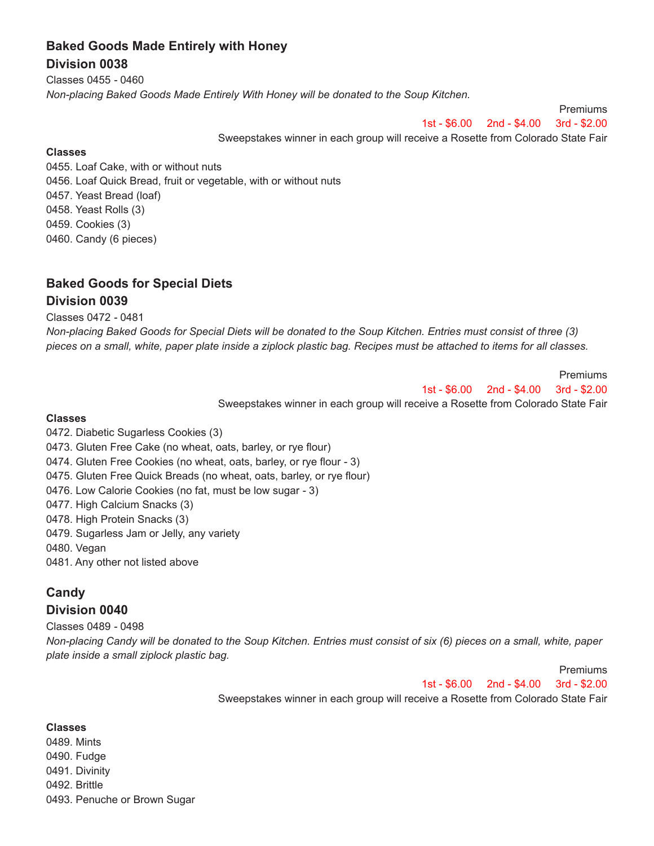# **Baked Goods Made Entirely with Honey Division 0038**

Classes 0455 *-* 0460 *Non-placing Baked Goods Made Entirely With Honey will be donated to the Soup Kitchen.*

1st - \$6.00 2nd - \$4.00 3rd - \$2.00

Premiums

Premiums

Sweepstakes winner in each group will receive a Rosette from Colorado State Fair

### **Classes**

0455. Loaf Cake, with or without nuts 0456. Loaf Quick Bread, fruit or vegetable, with or without nuts 0457. Yeast Bread (loaf) 0458. Yeast Rolls (3) 0459. Cookies (3) 0460. Candy (6 pieces)

# **Baked Goods for Special Diets Division 0039**

Classes 0472 *-* 0481

Non-placing Baked Goods for Special Diets will be donated to the Soup Kitchen. Entries must consist of three (3) pieces on a small, white, paper plate inside a ziplock plastic bag. Recipes must be attached to items for all classes.

> Premiums 1st - \$6.00 2nd - \$4.00 3rd - \$2.00

Sweepstakes winner in each group will receive a Rosette from Colorado State Fair

### **Classes**

- 0472. Diabetic Sugarless Cookies (3)
- 0473. Gluten Free Cake (no wheat, oats, barley, or rye flour)
- 0474. Gluten Free Cookies (no wheat, oats, barley, or rye flour *-* 3)
- 0475. Gluten Free Quick Breads (no wheat, oats, barley, or rye flour)
- 0476. Low Calorie Cookies (no fat, must be low sugar *-* 3)
- 0477. High Calcium Snacks (3)
- 0478. High Protein Snacks (3)
- 0479. Sugarless Jam or Jelly, any variety
- 0480. Vegan
- 0481. Any other not listed above

## **Candy**

### **Division 0040**

Classes 0489 *-* 0498

Non-placing Candy will be donated to the Soup Kitchen. Entries must consist of six (6) pieces on a small, white, paper *plate inside a small ziplock plastic bag.*

1st - \$6.00 2nd - \$4.00 3rd - \$2.00

Sweepstakes winner in each group will receive a Rosette from Colorado State Fair

#### **Classes**

0489. Mints 0490. Fudge 0491. Divinity 0492. Brittle 0493. Penuche or Brown Sugar